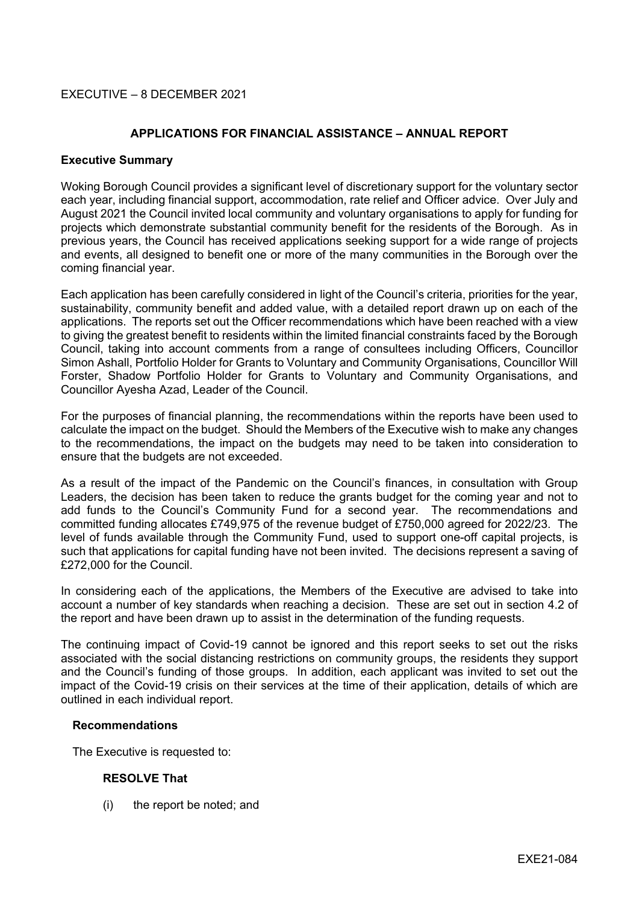# EXECUTIVE – 8 DECEMBER 2021

## **APPLICATIONS FOR FINANCIAL ASSISTANCE – ANNUAL REPORT**

### **Executive Summary**

Woking Borough Council provides a significant level of discretionary support for the voluntary sector each year, including financial support, accommodation, rate relief and Officer advice. Over July and August 2021 the Council invited local community and voluntary organisations to apply for funding for projects which demonstrate substantial community benefit for the residents of the Borough. As in previous years, the Council has received applications seeking support for a wide range of projects and events, all designed to benefit one or more of the many communities in the Borough over the coming financial year.

Each application has been carefully considered in light of the Council's criteria, priorities for the year, sustainability, community benefit and added value, with a detailed report drawn up on each of the applications. The reports set out the Officer recommendations which have been reached with a view to giving the greatest benefit to residents within the limited financial constraints faced by the Borough Council, taking into account comments from a range of consultees including Officers, Councillor Simon Ashall, Portfolio Holder for Grants to Voluntary and Community Organisations, Councillor Will Forster, Shadow Portfolio Holder for Grants to Voluntary and Community Organisations, and Councillor Ayesha Azad, Leader of the Council.

For the purposes of financial planning, the recommendations within the reports have been used to calculate the impact on the budget. Should the Members of the Executive wish to make any changes to the recommendations, the impact on the budgets may need to be taken into consideration to ensure that the budgets are not exceeded.

As a result of the impact of the Pandemic on the Council's finances, in consultation with Group Leaders, the decision has been taken to reduce the grants budget for the coming year and not to add funds to the Council's Community Fund for a second year. The recommendations and committed funding allocates £749,975 of the revenue budget of £750,000 agreed for 2022/23. The level of funds available through the Community Fund, used to support one-off capital projects, is such that applications for capital funding have not been invited. The decisions represent a saving of £272,000 for the Council.

In considering each of the applications, the Members of the Executive are advised to take into account a number of key standards when reaching a decision. These are set out in section 4.2 of the report and have been drawn up to assist in the determination of the funding requests.

The continuing impact of Covid-19 cannot be ignored and this report seeks to set out the risks associated with the social distancing restrictions on community groups, the residents they support and the Council's funding of those groups. In addition, each applicant was invited to set out the impact of the Covid-19 crisis on their services at the time of their application, details of which are outlined in each individual report.

#### **Recommendations**

The Executive is requested to:

## **RESOLVE That**

(i) the report be noted; and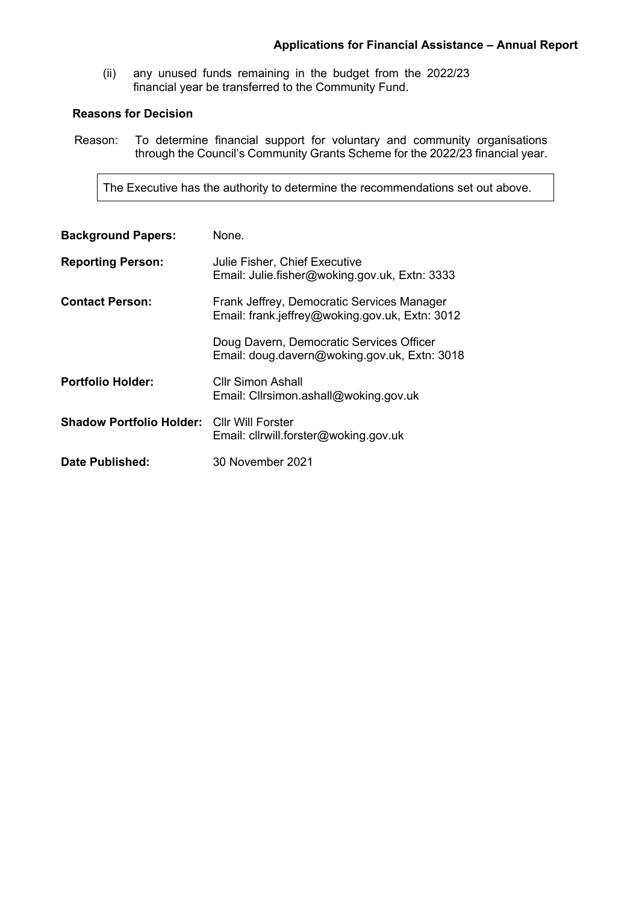(ii) any unused funds remaining in the budget from the 2022/23 financial year be transferred to the Community Fund.

# **Reasons for Decision**

Reason: To determine financial support for voluntary and community organisations through the Council's Community Grants Scheme for the 2022/23 financial year.

The Executive has the authority to determine the recommendations set out above.

| <b>Background Papers:</b>                         | None.                                                                                        |
|---------------------------------------------------|----------------------------------------------------------------------------------------------|
| <b>Reporting Person:</b>                          | Julie Fisher, Chief Executive<br>Email: Julie.fisher@woking.gov.uk, Extn: 3333               |
| <b>Contact Person:</b>                            | Frank Jeffrey, Democratic Services Manager<br>Email: frank.jeffrey@woking.gov.uk, Extn: 3012 |
|                                                   | Doug Davern, Democratic Services Officer<br>Email: doug.davern@woking.gov.uk, Extn: 3018     |
| <b>Portfolio Holder:</b>                          | Cllr Simon Ashall<br>Email: Clirsimon.ashall@woking.gov.uk                                   |
| <b>Shadow Portfolio Holder: Cllr Will Forster</b> | Email: cllrwill.forster@woking.gov.uk                                                        |
| Date Published:                                   | 30 November 2021                                                                             |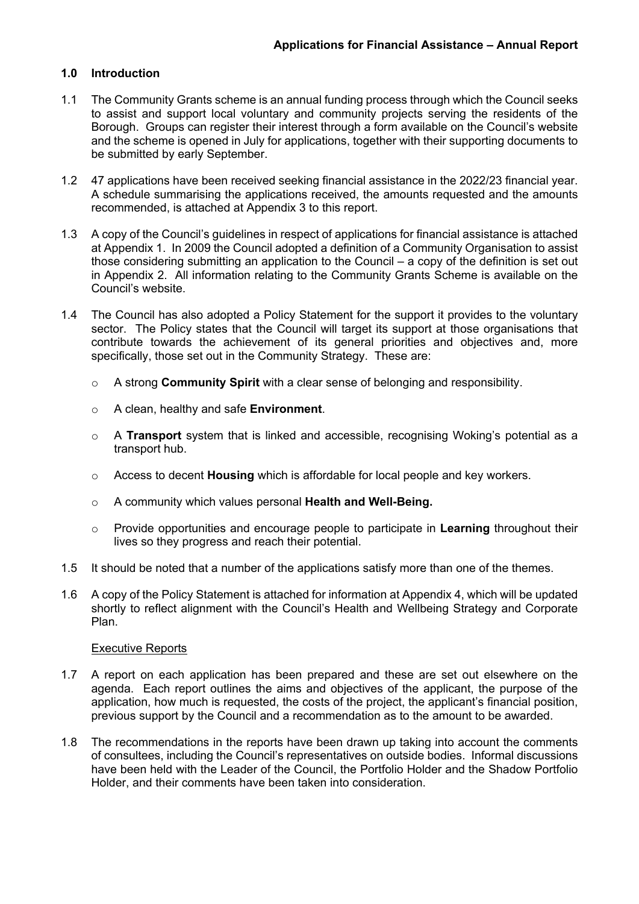## **1.0 Introduction**

- 1.1 The Community Grants scheme is an annual funding process through which the Council seeks to assist and support local voluntary and community projects serving the residents of the Borough. Groups can register their interest through a form available on the Council's website and the scheme is opened in July for applications, together with their supporting documents to be submitted by early September.
- 1.2 47 applications have been received seeking financial assistance in the 2022/23 financial year. A schedule summarising the applications received, the amounts requested and the amounts recommended, is attached at Appendix 3 to this report.
- 1.3 A copy of the Council's guidelines in respect of applications for financial assistance is attached at Appendix 1. In 2009 the Council adopted a definition of a Community Organisation to assist those considering submitting an application to the Council – a copy of the definition is set out in Appendix 2. All information relating to the Community Grants Scheme is available on the Council's website.
- 1.4 The Council has also adopted a Policy Statement for the support it provides to the voluntary sector. The Policy states that the Council will target its support at those organisations that contribute towards the achievement of its general priorities and objectives and, more specifically, those set out in the Community Strategy. These are:
	- o A strong **Community Spirit** with a clear sense of belonging and responsibility.
	- o A clean, healthy and safe **Environment**.
	- o A **Transport** system that is linked and accessible, recognising Woking's potential as a transport hub.
	- o Access to decent **Housing** which is affordable for local people and key workers.
	- o A community which values personal **Health and Well-Being.**
	- o Provide opportunities and encourage people to participate in **Learning** throughout their lives so they progress and reach their potential.
- 1.5 It should be noted that a number of the applications satisfy more than one of the themes.
- 1.6 A copy of the Policy Statement is attached for information at Appendix 4, which will be updated shortly to reflect alignment with the Council's Health and Wellbeing Strategy and Corporate Plan.

#### Executive Reports

- 1.7 A report on each application has been prepared and these are set out elsewhere on the agenda. Each report outlines the aims and objectives of the applicant, the purpose of the application, how much is requested, the costs of the project, the applicant's financial position, previous support by the Council and a recommendation as to the amount to be awarded.
- 1.8 The recommendations in the reports have been drawn up taking into account the comments of consultees, including the Council's representatives on outside bodies. Informal discussions have been held with the Leader of the Council, the Portfolio Holder and the Shadow Portfolio Holder, and their comments have been taken into consideration.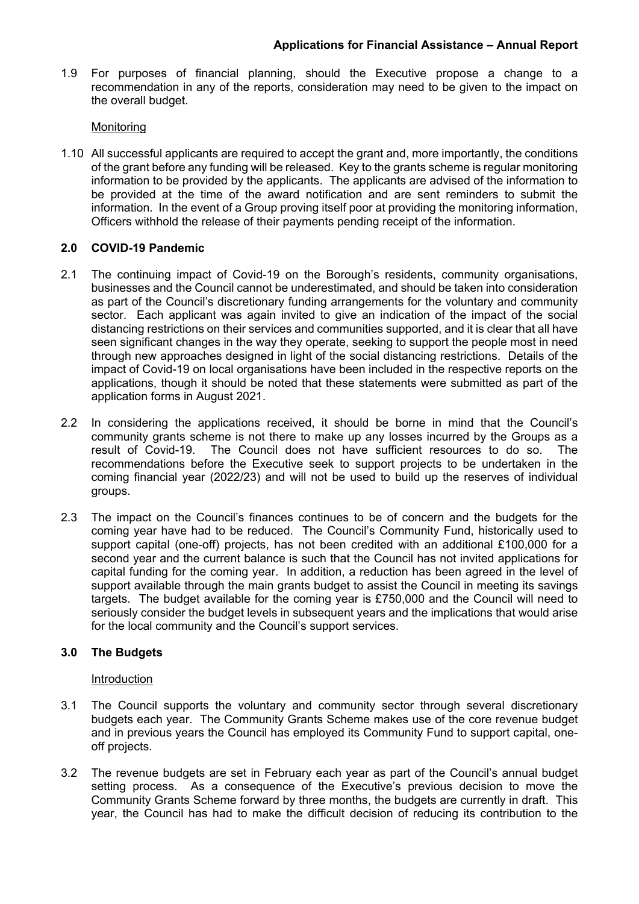1.9 For purposes of financial planning, should the Executive propose a change to a recommendation in any of the reports, consideration may need to be given to the impact on the overall budget.

## **Monitoring**

1.10 All successful applicants are required to accept the grant and, more importantly, the conditions of the grant before any funding will be released. Key to the grants scheme is regular monitoring information to be provided by the applicants. The applicants are advised of the information to be provided at the time of the award notification and are sent reminders to submit the information. In the event of a Group proving itself poor at providing the monitoring information, Officers withhold the release of their payments pending receipt of the information.

# **2.0 COVID-19 Pandemic**

- 2.1 The continuing impact of Covid-19 on the Borough's residents, community organisations, businesses and the Council cannot be underestimated, and should be taken into consideration as part of the Council's discretionary funding arrangements for the voluntary and community sector. Each applicant was again invited to give an indication of the impact of the social distancing restrictions on their services and communities supported, and it is clear that all have seen significant changes in the way they operate, seeking to support the people most in need through new approaches designed in light of the social distancing restrictions. Details of the impact of Covid-19 on local organisations have been included in the respective reports on the applications, though it should be noted that these statements were submitted as part of the application forms in August 2021.
- 2.2 In considering the applications received, it should be borne in mind that the Council's community grants scheme is not there to make up any losses incurred by the Groups as a result of Covid-19. The Council does not have sufficient resources to do so. The recommendations before the Executive seek to support projects to be undertaken in the coming financial year (2022/23) and will not be used to build up the reserves of individual groups.
- 2.3 The impact on the Council's finances continues to be of concern and the budgets for the coming year have had to be reduced. The Council's Community Fund, historically used to support capital (one-off) projects, has not been credited with an additional £100,000 for a second year and the current balance is such that the Council has not invited applications for capital funding for the coming year. In addition, a reduction has been agreed in the level of support available through the main grants budget to assist the Council in meeting its savings targets. The budget available for the coming year is £750,000 and the Council will need to seriously consider the budget levels in subsequent years and the implications that would arise for the local community and the Council's support services.

# **3.0 The Budgets**

## Introduction

- 3.1 The Council supports the voluntary and community sector through several discretionary budgets each year. The Community Grants Scheme makes use of the core revenue budget and in previous years the Council has employed its Community Fund to support capital, oneoff projects.
- 3.2 The revenue budgets are set in February each year as part of the Council's annual budget setting process. As a consequence of the Executive's previous decision to move the Community Grants Scheme forward by three months, the budgets are currently in draft. This year, the Council has had to make the difficult decision of reducing its contribution to the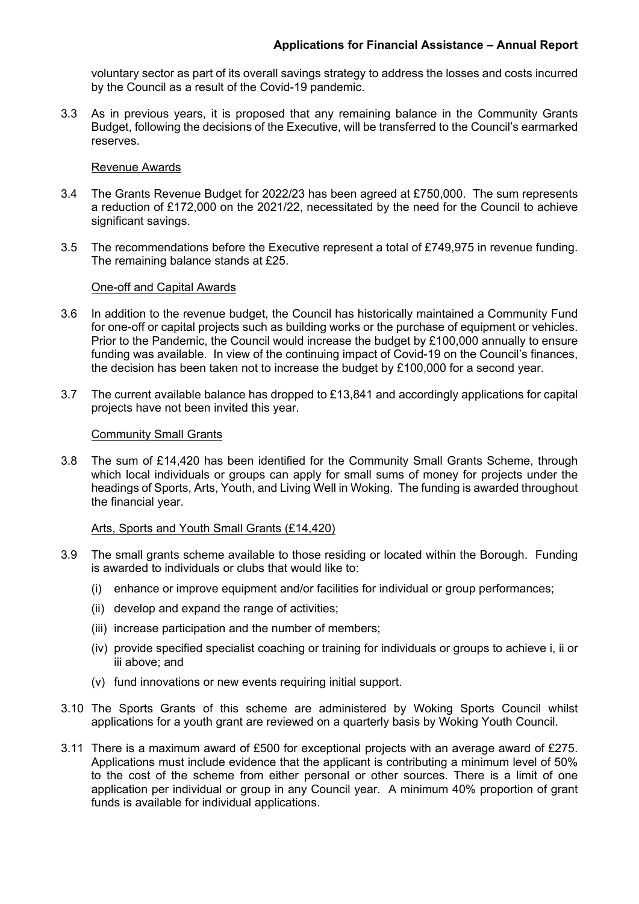voluntary sector as part of its overall savings strategy to address the losses and costs incurred by the Council as a result of the Covid-19 pandemic.

3.3 As in previous years, it is proposed that any remaining balance in the Community Grants Budget, following the decisions of the Executive, will be transferred to the Council's earmarked reserves.

#### Revenue Awards

- 3.4 The Grants Revenue Budget for 2022/23 has been agreed at £750,000. The sum represents a reduction of £172,000 on the 2021/22, necessitated by the need for the Council to achieve significant savings.
- 3.5 The recommendations before the Executive represent a total of £749,975 in revenue funding. The remaining balance stands at £25.

#### One-off and Capital Awards

- 3.6 In addition to the revenue budget, the Council has historically maintained a Community Fund for one-off or capital projects such as building works or the purchase of equipment or vehicles. Prior to the Pandemic, the Council would increase the budget by £100,000 annually to ensure funding was available. In view of the continuing impact of Covid-19 on the Council's finances, the decision has been taken not to increase the budget by £100,000 for a second year.
- 3.7 The current available balance has dropped to £13,841 and accordingly applications for capital projects have not been invited this year.

#### Community Small Grants

3.8 The sum of £14,420 has been identified for the Community Small Grants Scheme, through which local individuals or groups can apply for small sums of money for projects under the headings of Sports, Arts, Youth, and Living Well in Woking. The funding is awarded throughout the financial year.

## Arts, Sports and Youth Small Grants (£14,420)

- 3.9 The small grants scheme available to those residing or located within the Borough. Funding is awarded to individuals or clubs that would like to:
	- (i) enhance or improve equipment and/or facilities for individual or group performances;
	- (ii) develop and expand the range of activities;
	- (iii) increase participation and the number of members;
	- (iv) provide specified specialist coaching or training for individuals or groups to achieve i, ii or iii above; and
	- (v) fund innovations or new events requiring initial support.
- 3.10 The Sports Grants of this scheme are administered by Woking Sports Council whilst applications for a youth grant are reviewed on a quarterly basis by Woking Youth Council.
- 3.11 There is a maximum award of £500 for exceptional projects with an average award of £275. Applications must include evidence that the applicant is contributing a minimum level of 50% to the cost of the scheme from either personal or other sources. There is a limit of one application per individual or group in any Council year. A minimum 40% proportion of grant funds is available for individual applications.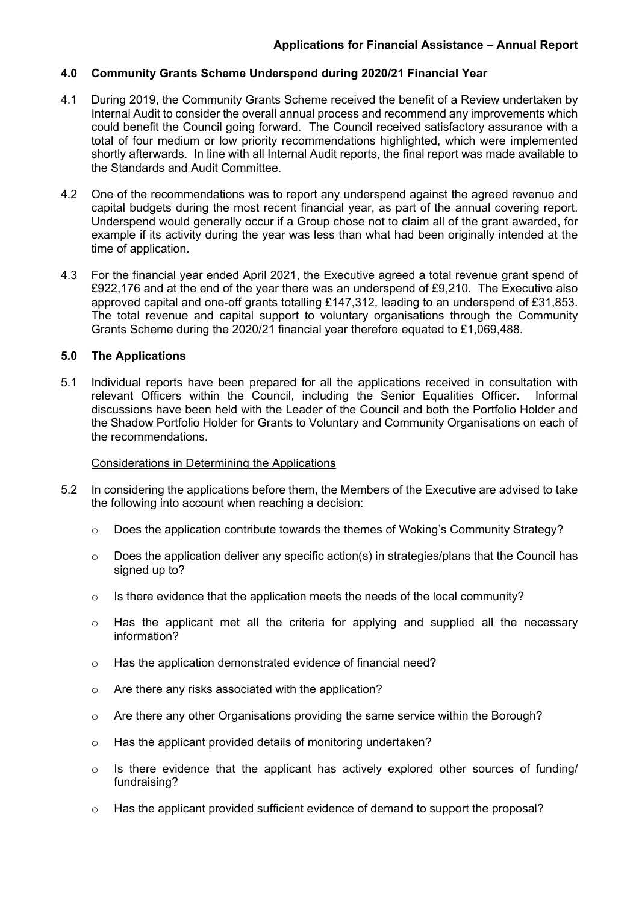# **4.0 Community Grants Scheme Underspend during 2020/21 Financial Year**

- 4.1 During 2019, the Community Grants Scheme received the benefit of a Review undertaken by Internal Audit to consider the overall annual process and recommend any improvements which could benefit the Council going forward. The Council received satisfactory assurance with a total of four medium or low priority recommendations highlighted, which were implemented shortly afterwards. In line with all Internal Audit reports, the final report was made available to the Standards and Audit Committee.
- 4.2 One of the recommendations was to report any underspend against the agreed revenue and capital budgets during the most recent financial year, as part of the annual covering report. Underspend would generally occur if a Group chose not to claim all of the grant awarded, for example if its activity during the year was less than what had been originally intended at the time of application.
- 4.3 For the financial year ended April 2021, the Executive agreed a total revenue grant spend of £922,176 and at the end of the year there was an underspend of £9,210. The Executive also approved capital and one-off grants totalling £147,312, leading to an underspend of £31,853. The total revenue and capital support to voluntary organisations through the Community Grants Scheme during the 2020/21 financial year therefore equated to £1,069,488.

# **5.0 The Applications**

5.1 Individual reports have been prepared for all the applications received in consultation with relevant Officers within the Council, including the Senior Equalities Officer. Informal discussions have been held with the Leader of the Council and both the Portfolio Holder and the Shadow Portfolio Holder for Grants to Voluntary and Community Organisations on each of the recommendations.

## Considerations in Determining the Applications

- 5.2 In considering the applications before them, the Members of the Executive are advised to take the following into account when reaching a decision:
	- $\circ$  Does the application contribute towards the themes of Woking's Community Strategy?
	- $\circ$  Does the application deliver any specific action(s) in strategies/plans that the Council has signed up to?
	- o Is there evidence that the application meets the needs of the local community?
	- o Has the applicant met all the criteria for applying and supplied all the necessary information?
	- o Has the application demonstrated evidence of financial need?
	- o Are there any risks associated with the application?
	- $\circ$  Are there any other Organisations providing the same service within the Borough?
	- o Has the applicant provided details of monitoring undertaken?
	- o Is there evidence that the applicant has actively explored other sources of funding/ fundraising?
	- $\circ$  Has the applicant provided sufficient evidence of demand to support the proposal?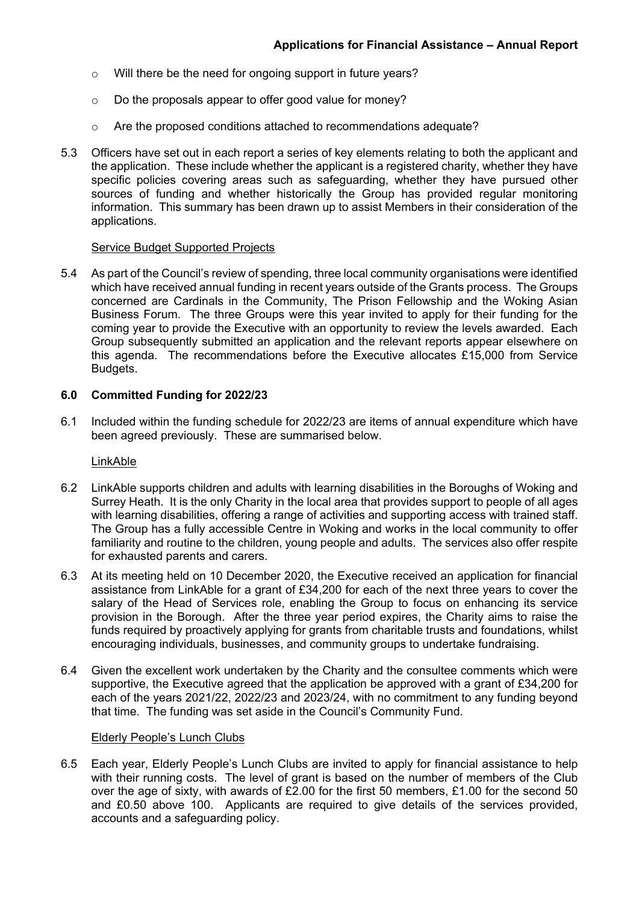- o Will there be the need for ongoing support in future years?
- o Do the proposals appear to offer good value for money?
- o Are the proposed conditions attached to recommendations adequate?
- 5.3 Officers have set out in each report a series of key elements relating to both the applicant and the application. These include whether the applicant is a registered charity, whether they have specific policies covering areas such as safeguarding, whether they have pursued other sources of funding and whether historically the Group has provided regular monitoring information. This summary has been drawn up to assist Members in their consideration of the applications.

#### Service Budget Supported Projects

5.4 As part of the Council's review of spending, three local community organisations were identified which have received annual funding in recent years outside of the Grants process. The Groups concerned are Cardinals in the Community, The Prison Fellowship and the Woking Asian Business Forum. The three Groups were this year invited to apply for their funding for the coming year to provide the Executive with an opportunity to review the levels awarded. Each Group subsequently submitted an application and the relevant reports appear elsewhere on this agenda. The recommendations before the Executive allocates £15,000 from Service Budgets.

#### **6.0 Committed Funding for 2022/23**

6.1 Included within the funding schedule for 2022/23 are items of annual expenditure which have been agreed previously. These are summarised below.

#### LinkAble

- 6.2 LinkAble supports children and adults with learning disabilities in the Boroughs of Woking and Surrey Heath. It is the only Charity in the local area that provides support to people of all ages with learning disabilities, offering a range of activities and supporting access with trained staff. The Group has a fully accessible Centre in Woking and works in the local community to offer familiarity and routine to the children, young people and adults. The services also offer respite for exhausted parents and carers.
- 6.3 At its meeting held on 10 December 2020, the Executive received an application for financial assistance from LinkAble for a grant of £34,200 for each of the next three years to cover the salary of the Head of Services role, enabling the Group to focus on enhancing its service provision in the Borough. After the three year period expires, the Charity aims to raise the funds required by proactively applying for grants from charitable trusts and foundations, whilst encouraging individuals, businesses, and community groups to undertake fundraising.
- 6.4 Given the excellent work undertaken by the Charity and the consultee comments which were supportive, the Executive agreed that the application be approved with a grant of £34,200 for each of the years 2021/22, 2022/23 and 2023/24, with no commitment to any funding beyond that time. The funding was set aside in the Council's Community Fund.

#### Elderly People's Lunch Clubs

6.5 Each year, Elderly People's Lunch Clubs are invited to apply for financial assistance to help with their running costs. The level of grant is based on the number of members of the Club over the age of sixty, with awards of £2.00 for the first 50 members, £1.00 for the second 50 and £0.50 above 100. Applicants are required to give details of the services provided, accounts and a safeguarding policy.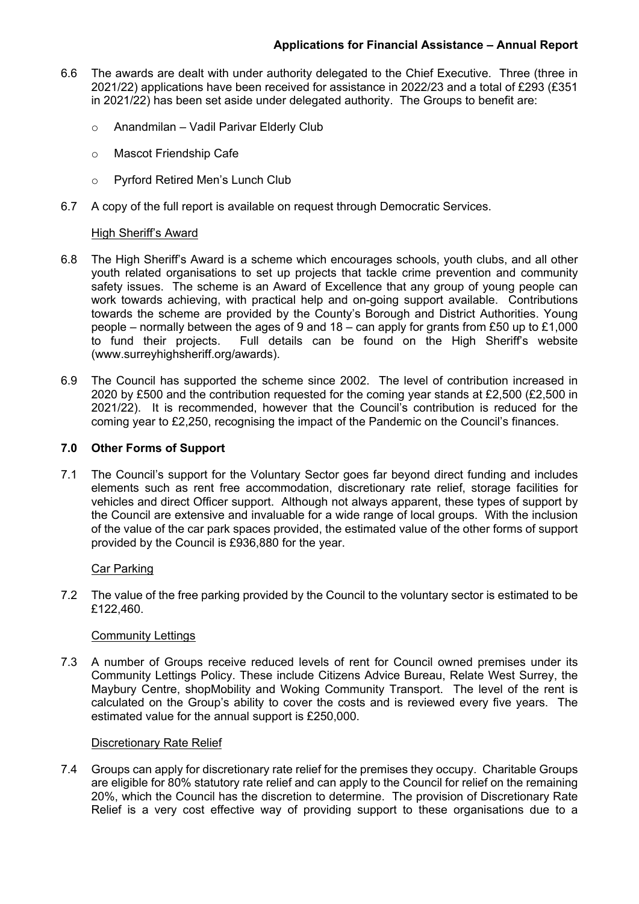- 6.6 The awards are dealt with under authority delegated to the Chief Executive. Three (three in 2021/22) applications have been received for assistance in 2022/23 and a total of £293 (£351 in 2021/22) has been set aside under delegated authority. The Groups to benefit are:
	- o Anandmilan Vadil Parivar Elderly Club
	- o Mascot Friendship Cafe
	- o Pyrford Retired Men's Lunch Club
- 6.7 A copy of the full report is available on request through Democratic Services.

### High Sheriff's Award

- 6.8 The High Sheriff's Award is a scheme which encourages schools, youth clubs, and all other youth related organisations to set up projects that tackle crime prevention and community safety issues. The scheme is an Award of Excellence that any group of young people can work towards achieving, with practical help and on-going support available. Contributions towards the scheme are provided by the County's Borough and District Authorities. Young people – normally between the ages of 9 and 18 – can apply for grants from £50 up to £1,000 to fund their projects. Full details can be found on the High Sheriff's website (www.surreyhighsheriff.org/awards).
- 6.9 The Council has supported the scheme since 2002. The level of contribution increased in 2020 by £500 and the contribution requested for the coming year stands at £2,500 (£2,500 in 2021/22). It is recommended, however that the Council's contribution is reduced for the coming year to £2,250, recognising the impact of the Pandemic on the Council's finances.

### **7.0 Other Forms of Support**

7.1 The Council's support for the Voluntary Sector goes far beyond direct funding and includes elements such as rent free accommodation, discretionary rate relief, storage facilities for vehicles and direct Officer support. Although not always apparent, these types of support by the Council are extensive and invaluable for a wide range of local groups. With the inclusion of the value of the car park spaces provided, the estimated value of the other forms of support provided by the Council is £936,880 for the year.

#### Car Parking

7.2 The value of the free parking provided by the Council to the voluntary sector is estimated to be £122,460.

## Community Lettings

7.3 A number of Groups receive reduced levels of rent for Council owned premises under its Community Lettings Policy. These include Citizens Advice Bureau, Relate West Surrey, the Maybury Centre, shopMobility and Woking Community Transport. The level of the rent is calculated on the Group's ability to cover the costs and is reviewed every five years. The estimated value for the annual support is £250,000.

#### Discretionary Rate Relief

7.4 Groups can apply for discretionary rate relief for the premises they occupy. Charitable Groups are eligible for 80% statutory rate relief and can apply to the Council for relief on the remaining 20%, which the Council has the discretion to determine. The provision of Discretionary Rate Relief is a very cost effective way of providing support to these organisations due to a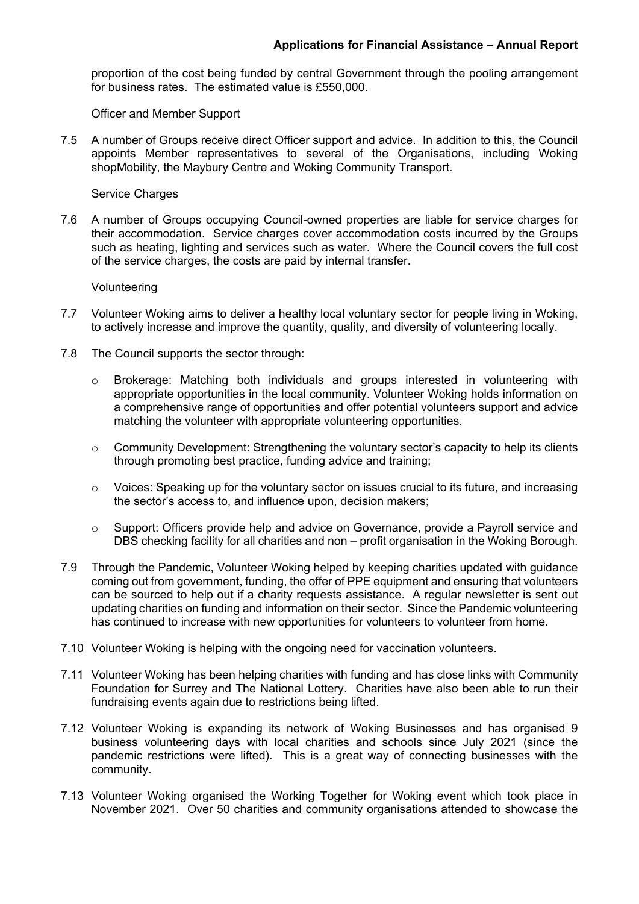proportion of the cost being funded by central Government through the pooling arrangement for business rates. The estimated value is £550,000.

### Officer and Member Support

7.5 A number of Groups receive direct Officer support and advice. In addition to this, the Council appoints Member representatives to several of the Organisations, including Woking shopMobility, the Maybury Centre and Woking Community Transport.

#### Service Charges

7.6 A number of Groups occupying Council-owned properties are liable for service charges for their accommodation. Service charges cover accommodation costs incurred by the Groups such as heating, lighting and services such as water. Where the Council covers the full cost of the service charges, the costs are paid by internal transfer.

### Volunteering

- 7.7 Volunteer Woking aims to deliver a healthy local voluntary sector for people living in Woking, to actively increase and improve the quantity, quality, and diversity of volunteering locally.
- 7.8 The Council supports the sector through:
	- o Brokerage: Matching both individuals and groups interested in volunteering with appropriate opportunities in the local community. Volunteer Woking holds information on a comprehensive range of opportunities and offer potential volunteers support and advice matching the volunteer with appropriate volunteering opportunities.
	- $\circ$  Community Development: Strengthening the voluntary sector's capacity to help its clients through promoting best practice, funding advice and training;
	- $\circ$  Voices: Speaking up for the voluntary sector on issues crucial to its future, and increasing the sector's access to, and influence upon, decision makers;
	- o Support: Officers provide help and advice on Governance, provide a Payroll service and DBS checking facility for all charities and non – profit organisation in the Woking Borough.
- 7.9 Through the Pandemic, Volunteer Woking helped by keeping charities updated with guidance coming out from government, funding, the offer of PPE equipment and ensuring that volunteers can be sourced to help out if a charity requests assistance. A regular newsletter is sent out updating charities on funding and information on their sector. Since the Pandemic volunteering has continued to increase with new opportunities for volunteers to volunteer from home.
- 7.10 Volunteer Woking is helping with the ongoing need for vaccination volunteers.
- 7.11 Volunteer Woking has been helping charities with funding and has close links with Community Foundation for Surrey and The National Lottery. Charities have also been able to run their fundraising events again due to restrictions being lifted.
- 7.12 Volunteer Woking is expanding its network of Woking Businesses and has organised 9 business volunteering days with local charities and schools since July 2021 (since the pandemic restrictions were lifted). This is a great way of connecting businesses with the community.
- 7.13 Volunteer Woking organised the Working Together for Woking event which took place in November 2021. Over 50 charities and community organisations attended to showcase the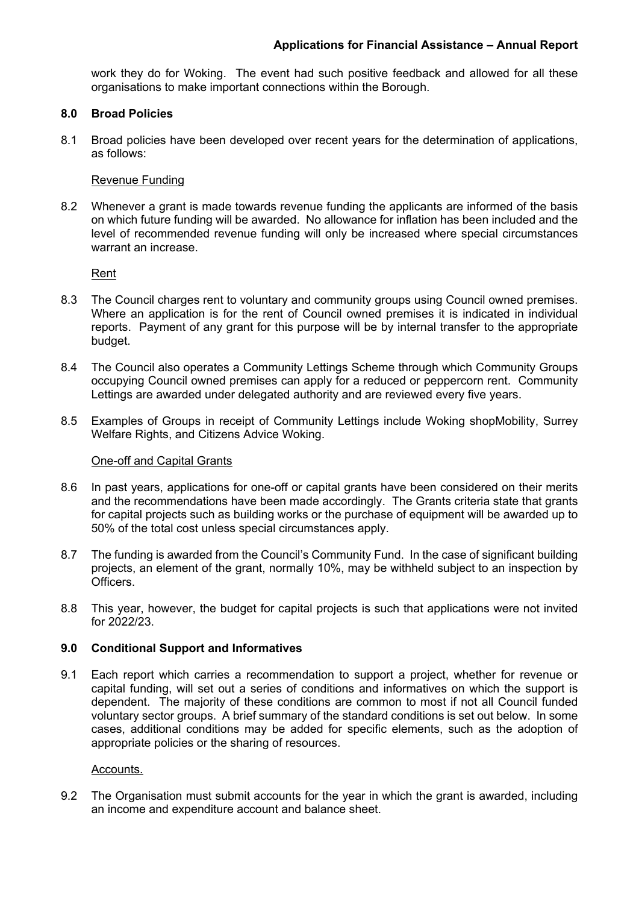work they do for Woking. The event had such positive feedback and allowed for all these organisations to make important connections within the Borough.

### **8.0 Broad Policies**

8.1 Broad policies have been developed over recent years for the determination of applications, as follows:

### Revenue Funding

8.2 Whenever a grant is made towards revenue funding the applicants are informed of the basis on which future funding will be awarded. No allowance for inflation has been included and the level of recommended revenue funding will only be increased where special circumstances warrant an increase.

Rent

- 8.3 The Council charges rent to voluntary and community groups using Council owned premises. Where an application is for the rent of Council owned premises it is indicated in individual reports. Payment of any grant for this purpose will be by internal transfer to the appropriate budget.
- 8.4 The Council also operates a Community Lettings Scheme through which Community Groups occupying Council owned premises can apply for a reduced or peppercorn rent. Community Lettings are awarded under delegated authority and are reviewed every five years.
- 8.5 Examples of Groups in receipt of Community Lettings include Woking shopMobility, Surrey Welfare Rights, and Citizens Advice Woking.

#### One-off and Capital Grants

- 8.6 In past years, applications for one-off or capital grants have been considered on their merits and the recommendations have been made accordingly. The Grants criteria state that grants for capital projects such as building works or the purchase of equipment will be awarded up to 50% of the total cost unless special circumstances apply.
- 8.7 The funding is awarded from the Council's Community Fund. In the case of significant building projects, an element of the grant, normally 10%, may be withheld subject to an inspection by Officers.
- 8.8 This year, however, the budget for capital projects is such that applications were not invited for 2022/23.

## **9.0 Conditional Support and Informatives**

9.1 Each report which carries a recommendation to support a project, whether for revenue or capital funding, will set out a series of conditions and informatives on which the support is dependent. The majority of these conditions are common to most if not all Council funded voluntary sector groups. A brief summary of the standard conditions is set out below. In some cases, additional conditions may be added for specific elements, such as the adoption of appropriate policies or the sharing of resources.

### Accounts.

9.2 The Organisation must submit accounts for the year in which the grant is awarded, including an income and expenditure account and balance sheet.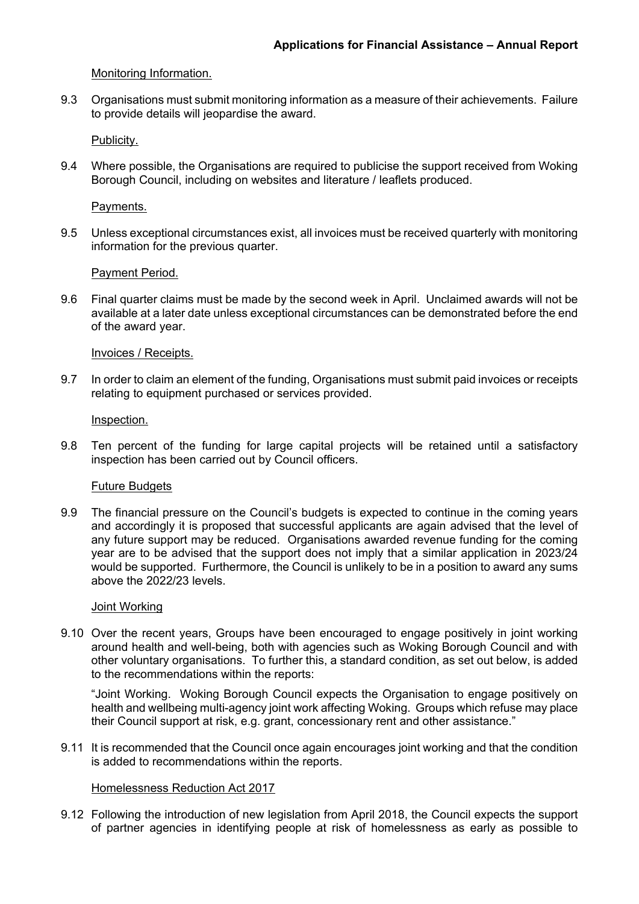## Monitoring Information.

9.3 Organisations must submit monitoring information as a measure of their achievements. Failure to provide details will jeopardise the award.

Publicity.

9.4 Where possible, the Organisations are required to publicise the support received from Woking Borough Council, including on websites and literature / leaflets produced.

Payments.

9.5 Unless exceptional circumstances exist, all invoices must be received quarterly with monitoring information for the previous quarter.

Payment Period.

9.6 Final quarter claims must be made by the second week in April. Unclaimed awards will not be available at a later date unless exceptional circumstances can be demonstrated before the end of the award year.

#### Invoices / Receipts.

9.7 In order to claim an element of the funding, Organisations must submit paid invoices or receipts relating to equipment purchased or services provided.

#### Inspection.

9.8 Ten percent of the funding for large capital projects will be retained until a satisfactory inspection has been carried out by Council officers.

#### Future Budgets

9.9 The financial pressure on the Council's budgets is expected to continue in the coming years and accordingly it is proposed that successful applicants are again advised that the level of any future support may be reduced. Organisations awarded revenue funding for the coming year are to be advised that the support does not imply that a similar application in 2023/24 would be supported. Furthermore, the Council is unlikely to be in a position to award any sums above the 2022/23 levels.

#### Joint Working

9.10 Over the recent years, Groups have been encouraged to engage positively in joint working around health and well-being, both with agencies such as Woking Borough Council and with other voluntary organisations. To further this, a standard condition, as set out below, is added to the recommendations within the reports:

"Joint Working. Woking Borough Council expects the Organisation to engage positively on health and wellbeing multi-agency joint work affecting Woking. Groups which refuse may place their Council support at risk, e.g. grant, concessionary rent and other assistance."

9.11 It is recommended that the Council once again encourages joint working and that the condition is added to recommendations within the reports.

#### Homelessness Reduction Act 2017

9.12 Following the introduction of new legislation from April 2018, the Council expects the support of partner agencies in identifying people at risk of homelessness as early as possible to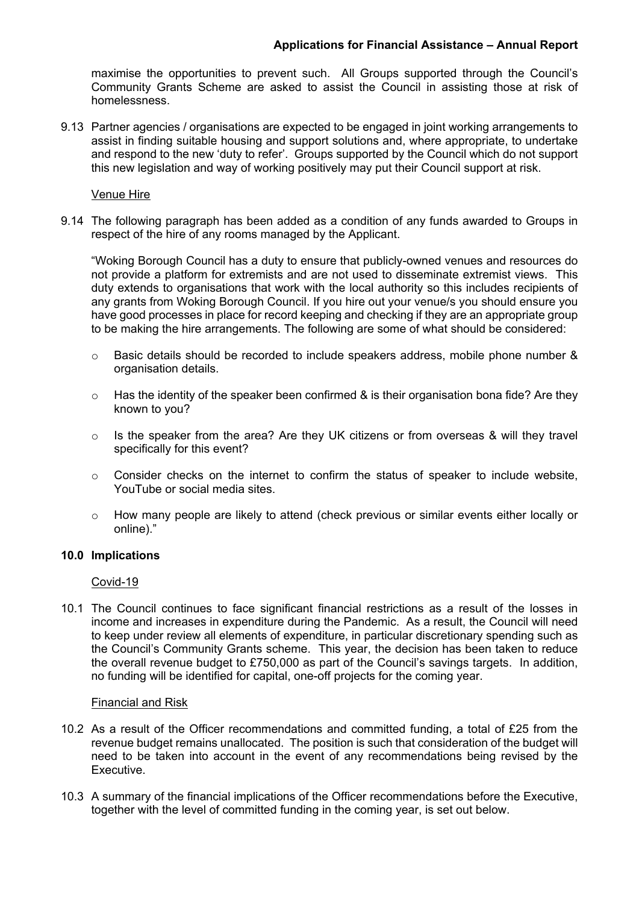# **Applications for Financial Assistance – Annual Report**

maximise the opportunities to prevent such. All Groups supported through the Council's Community Grants Scheme are asked to assist the Council in assisting those at risk of homelessness.

9.13 Partner agencies / organisations are expected to be engaged in joint working arrangements to assist in finding suitable housing and support solutions and, where appropriate, to undertake and respond to the new 'duty to refer'. Groups supported by the Council which do not support this new legislation and way of working positively may put their Council support at risk.

### Venue Hire

9.14 The following paragraph has been added as a condition of any funds awarded to Groups in respect of the hire of any rooms managed by the Applicant.

"Woking Borough Council has a duty to ensure that publicly-owned venues and resources do not provide a platform for extremists and are not used to disseminate extremist views. This duty extends to organisations that work with the local authority so this includes recipients of any grants from Woking Borough Council. If you hire out your venue/s you should ensure you have good processes in place for record keeping and checking if they are an appropriate group to be making the hire arrangements. The following are some of what should be considered:

- o Basic details should be recorded to include speakers address, mobile phone number & organisation details.
- $\circ$  Has the identity of the speaker been confirmed & is their organisation bona fide? Are they known to you?
- o Is the speaker from the area? Are they UK citizens or from overseas & will they travel specifically for this event?
- o Consider checks on the internet to confirm the status of speaker to include website, YouTube or social media sites.
- o How many people are likely to attend (check previous or similar events either locally or online)."

## **10.0 Implications**

## Covid-19

10.1 The Council continues to face significant financial restrictions as a result of the losses in income and increases in expenditure during the Pandemic. As a result, the Council will need to keep under review all elements of expenditure, in particular discretionary spending such as the Council's Community Grants scheme. This year, the decision has been taken to reduce the overall revenue budget to £750,000 as part of the Council's savings targets. In addition, no funding will be identified for capital, one-off projects for the coming year.

#### Financial and Risk

- 10.2 As a result of the Officer recommendations and committed funding, a total of £25 from the revenue budget remains unallocated. The position is such that consideration of the budget will need to be taken into account in the event of any recommendations being revised by the Executive.
- 10.3 A summary of the financial implications of the Officer recommendations before the Executive, together with the level of committed funding in the coming year, is set out below.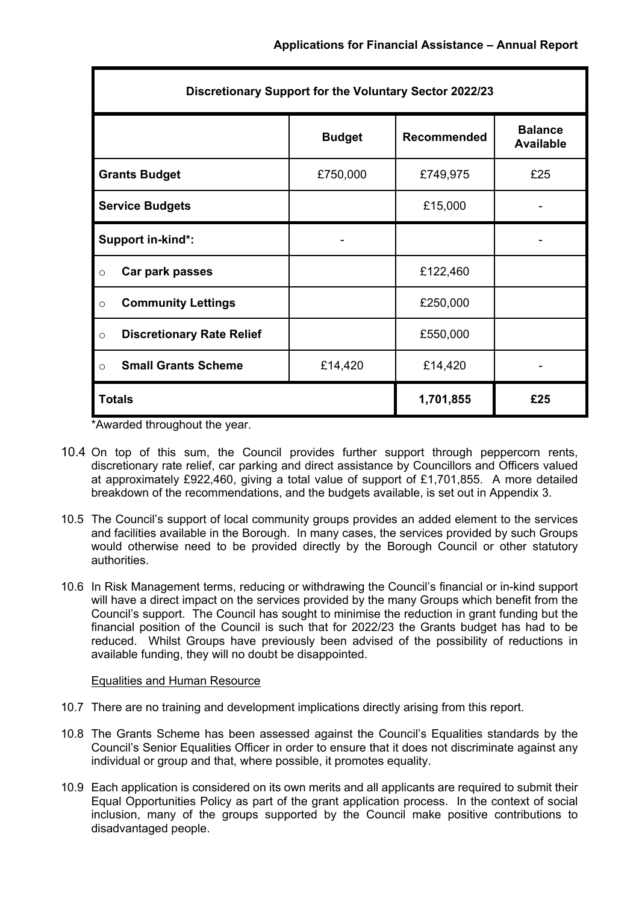| Discretionary Support for the Voluntary Sector 2022/23 |               |             |                                    |
|--------------------------------------------------------|---------------|-------------|------------------------------------|
|                                                        | <b>Budget</b> | Recommended | <b>Balance</b><br><b>Available</b> |
| <b>Grants Budget</b>                                   | £750,000      | £749,975    | £25                                |
| <b>Service Budgets</b>                                 |               | £15,000     |                                    |
| Support in-kind*:                                      |               |             |                                    |
| Car park passes<br>$\circ$                             |               | £122,460    |                                    |
| <b>Community Lettings</b><br>$\circ$                   |               | £250,000    |                                    |
| <b>Discretionary Rate Relief</b><br>$\circ$            |               | £550,000    |                                    |
| <b>Small Grants Scheme</b><br>$\circ$                  | £14,420       | £14,420     |                                    |
| <b>Totals</b>                                          |               | 1,701,855   | £25                                |

\*Awarded throughout the year.

- 10.4 On top of this sum, the Council provides further support through peppercorn rents, discretionary rate relief, car parking and direct assistance by Councillors and Officers valued at approximately £922,460, giving a total value of support of £1,701,855. A more detailed breakdown of the recommendations, and the budgets available, is set out in Appendix 3.
- 10.5 The Council's support of local community groups provides an added element to the services and facilities available in the Borough. In many cases, the services provided by such Groups would otherwise need to be provided directly by the Borough Council or other statutory authorities.
- 10.6 In Risk Management terms, reducing or withdrawing the Council's financial or in-kind support will have a direct impact on the services provided by the many Groups which benefit from the Council's support. The Council has sought to minimise the reduction in grant funding but the financial position of the Council is such that for 2022/23 the Grants budget has had to be reduced. Whilst Groups have previously been advised of the possibility of reductions in available funding, they will no doubt be disappointed.

## Equalities and Human Resource

- 10.7 There are no training and development implications directly arising from this report.
- 10.8 The Grants Scheme has been assessed against the Council's Equalities standards by the Council's Senior Equalities Officer in order to ensure that it does not discriminate against any individual or group and that, where possible, it promotes equality.
- 10.9 Each application is considered on its own merits and all applicants are required to submit their Equal Opportunities Policy as part of the grant application process. In the context of social inclusion, many of the groups supported by the Council make positive contributions to disadvantaged people.